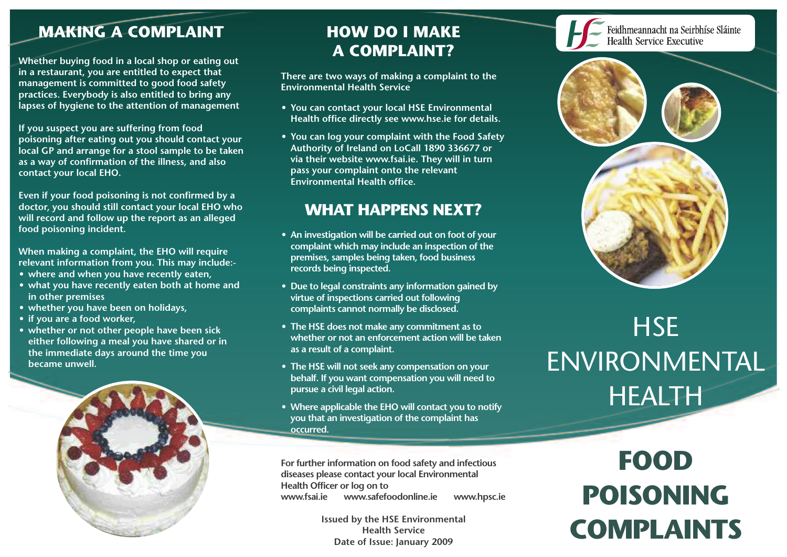## **MAKING A COMPLAINT**

**Whether buying food in a local shop or eating out in a restaurant, you are entitled to expect that management is committed to good food safety practices. Everybody is also entitled to bring any lapses of hygiene to the attention of management**

**If you suspect you are suffering from food poisoning after eating out you should contact your local GP and arrange for a stool sample to be taken as a way of confirmation of the illness, and also contact your local EHO.**

**Even if your food poisoning is not confirmed by a doctor, you should still contact your local EHO who will record and follow up the report as an alleged food poisoning incident.**

**When making a complaint, the EHO will require relevant information from you. This may include:-**

- **• where and when you have recently eaten,**
- **• what you have recently eaten both at home and in other premises**
- **• whether you have been on holidays,**
- **• if you are a food worker,**
- **• whether or not other people have been sick either following a meal you have shared or in the immediate days around the time you became unwell.**



# **HOW DO I MAKE A COMPLAINT?**

**There are two ways of making a complaint to the Environmental Health Service**

- **• You can contact your local HSE Environmental Health office directly see www.hse.ie for details.**
- **• You can log your complaint with the Food Safety Authority of Ireland on LoCall 1890 336677 or via their website www.fsai.ie. They will in turn pass your complaint onto the relevant Environmental Health office.**

## **WHAT HAPPENS NEXT?**

- **• An investigation will be carried out on foot of your complaint which may include an inspection of the premises, samples being taken, food business records being inspected.**
- **• Due to legal constraints any information gained by virtue of inspections carried out following complaints cannot normally be disclosed.**
- **• The HSE does not make any commitment as to whether or not an enforcement action will be taken as a result of a complaint.**
- **• The HSE will not seek any compensation on your behalf. If you want compensation you will need to pursue a civil legal action.**
- **• Where applicable the EHO will contact you to notify you that an investigation of the complaint has occurred.**

**For further information on food safety and infectious diseases please contact your local Environmental Health Officer or log on to www.fsai.ie www.safefoodonline.ie www.hpsc.ie**

> **Issued by the HSE Environmental Health Service Date of Issue: January 2009**

#### Feidhmeannacht na Seirbhíse Sláinte **Health Service Executive**



# **HSE** ENVIRONMENTAL HEALTH

**FOOD POISONING COMPLAINTS**